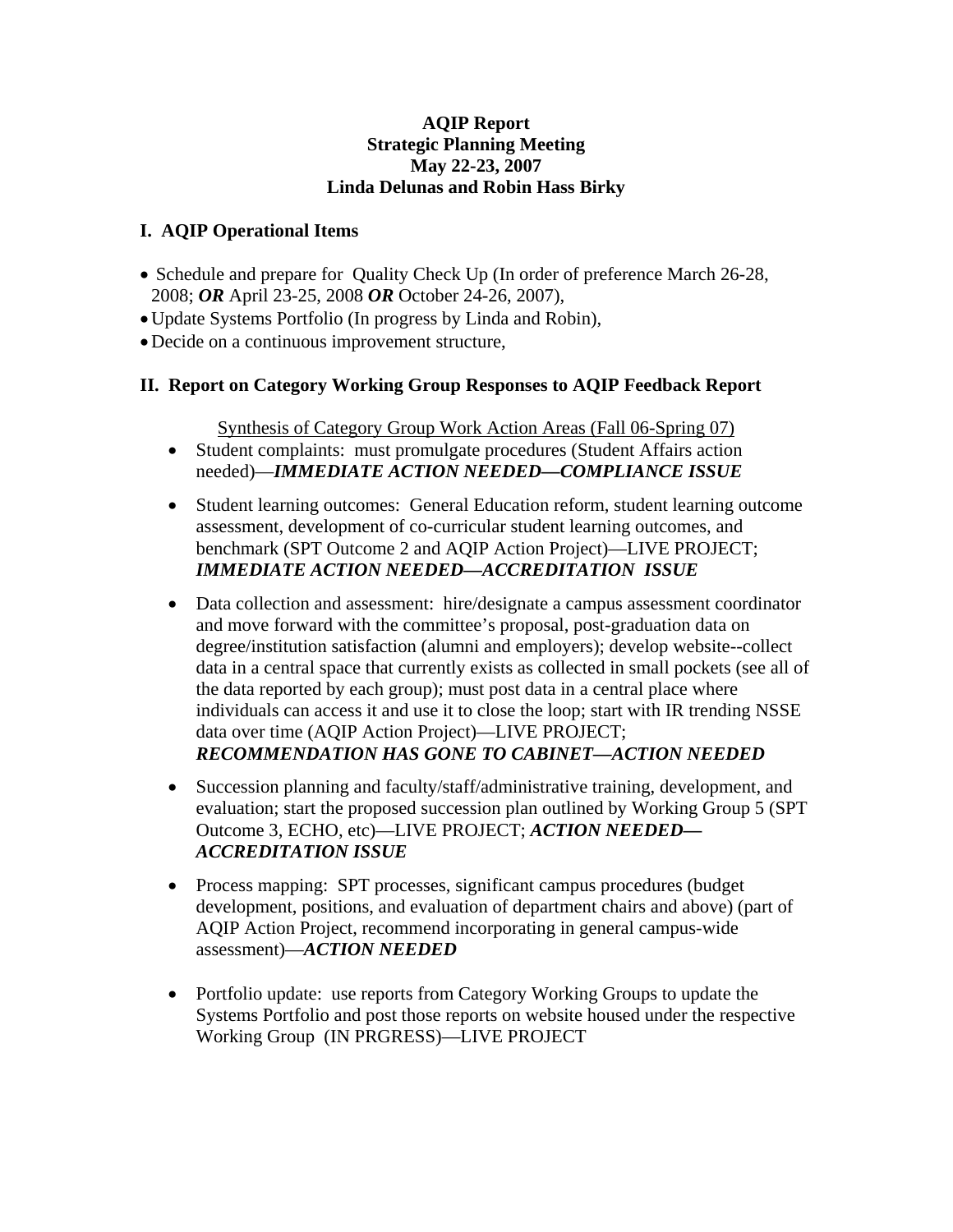### **AQIP Report Strategic Planning Meeting May 22-23, 2007 Linda Delunas and Robin Hass Birky**

### **I. AQIP Operational Items**

- Schedule and prepare for Quality Check Up (In order of preference March 26-28, 2008; *OR* April 23-25, 2008 *OR* October 24-26, 2007),
- •Update Systems Portfolio (In progress by Linda and Robin),
- •Decide on a continuous improvement structure,

# **II. Report on Category Working Group Responses to AQIP Feedback Report**

Synthesis of Category Group Work Action Areas (Fall 06-Spring 07)

- Student complaints: must promulgate procedures (Student Affairs action needed)—*IMMEDIATE ACTION NEEDED—COMPLIANCE ISSUE*
- Student learning outcomes: General Education reform, student learning outcome assessment, development of co-curricular student learning outcomes, and benchmark (SPT Outcome 2 and AQIP Action Project)—LIVE PROJECT; *IMMEDIATE ACTION NEEDED—ACCREDITATION ISSUE*
- Data collection and assessment: hire/designate a campus assessment coordinator and move forward with the committee's proposal, post-graduation data on degree/institution satisfaction (alumni and employers); develop website--collect data in a central space that currently exists as collected in small pockets (see all of the data reported by each group); must post data in a central place where individuals can access it and use it to close the loop; start with IR trending NSSE data over time (AQIP Action Project)—LIVE PROJECT; *RECOMMENDATION HAS GONE TO CABINET—ACTION NEEDED*
- Succession planning and faculty/staff/administrative training, development, and evaluation; start the proposed succession plan outlined by Working Group 5 (SPT Outcome 3, ECHO, etc)—LIVE PROJECT; *ACTION NEEDED— ACCREDITATION ISSUE*
- Process mapping: SPT processes, significant campus procedures (budget) development, positions, and evaluation of department chairs and above) (part of AQIP Action Project, recommend incorporating in general campus-wide assessment)—*ACTION NEEDED*
- Portfolio update: use reports from Category Working Groups to update the Systems Portfolio and post those reports on website housed under the respective Working Group (IN PRGRESS)—LIVE PROJECT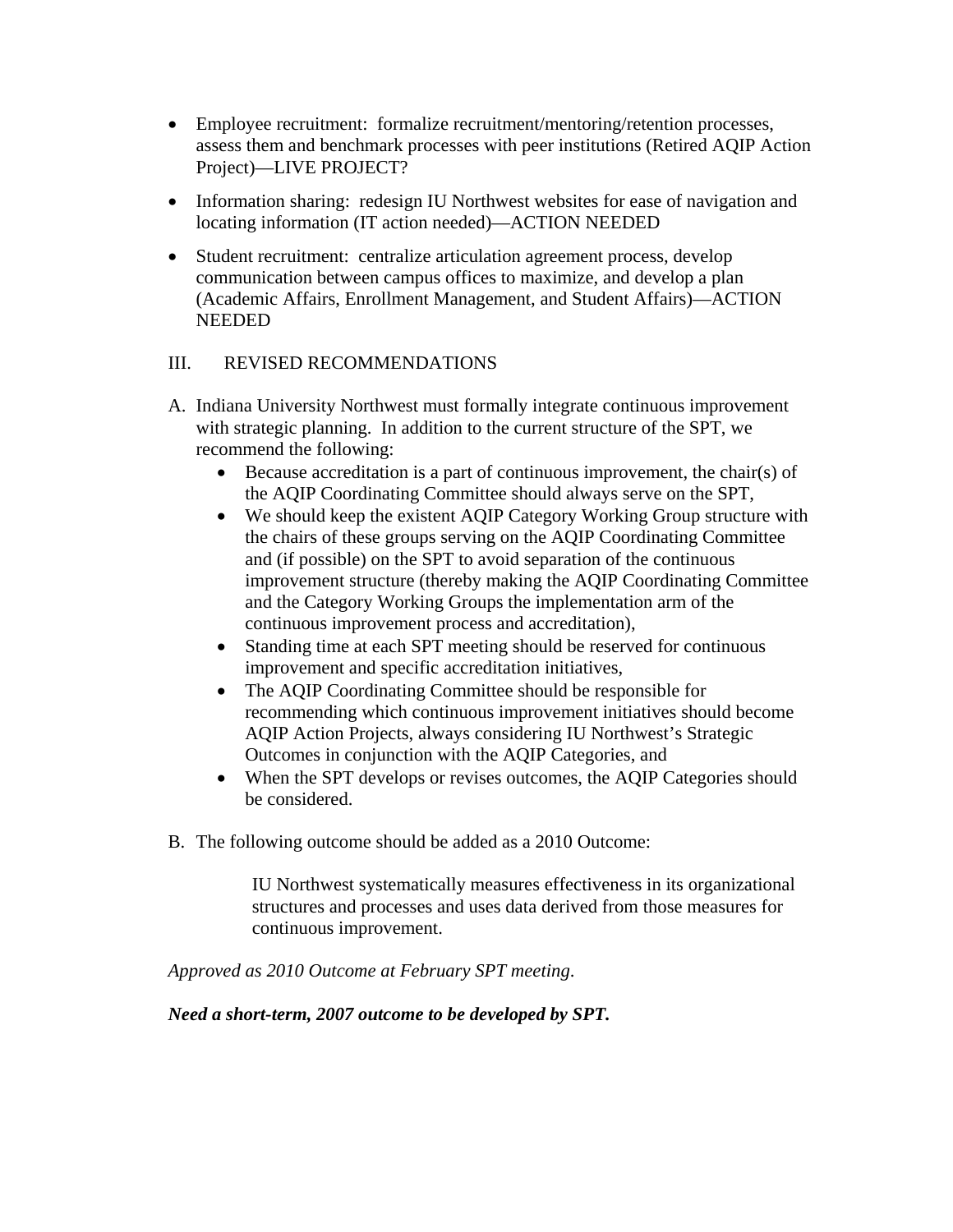- Employee recruitment: formalize recruitment/mentoring/retention processes, assess them and benchmark processes with peer institutions (Retired AQIP Action Project)—LIVE PROJECT?
- Information sharing: redesign IU Northwest websites for ease of navigation and locating information (IT action needed)—ACTION NEEDED
- Student recruitment: centralize articulation agreement process, develop communication between campus offices to maximize, and develop a plan (Academic Affairs, Enrollment Management, and Student Affairs)—ACTION NEEDED

### III. REVISED RECOMMENDATIONS

- A. Indiana University Northwest must formally integrate continuous improvement with strategic planning. In addition to the current structure of the SPT, we recommend the following:
	- Because accreditation is a part of continuous improvement, the chair(s) of the AQIP Coordinating Committee should always serve on the SPT,
	- We should keep the existent AQIP Category Working Group structure with the chairs of these groups serving on the AQIP Coordinating Committee and (if possible) on the SPT to avoid separation of the continuous improvement structure (thereby making the AQIP Coordinating Committee and the Category Working Groups the implementation arm of the continuous improvement process and accreditation),
	- Standing time at each SPT meeting should be reserved for continuous improvement and specific accreditation initiatives,
	- The AQIP Coordinating Committee should be responsible for recommending which continuous improvement initiatives should become AQIP Action Projects, always considering IU Northwest's Strategic Outcomes in conjunction with the AQIP Categories, and
	- When the SPT develops or revises outcomes, the AQIP Categories should be considered.
- B. The following outcome should be added as a 2010 Outcome:

IU Northwest systematically measures effectiveness in its organizational structures and processes and uses data derived from those measures for continuous improvement.

*Approved as 2010 Outcome at February SPT meeting*.

*Need a short-term, 2007 outcome to be developed by SPT.*